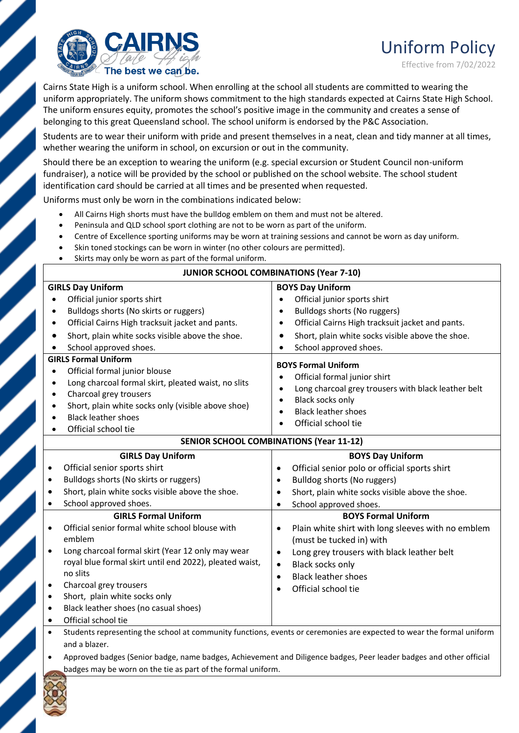

## Uniform Policy Effective from 7/02/2022

Cairns State High is a uniform school. When enrolling at the school all students are committed to wearing the uniform appropriately. The uniform shows commitment to the high standards expected at Cairns State High School. The uniform ensures equity, promotes the school's positive image in the community and creates a sense of belonging to this great Queensland school. The school uniform is endorsed by the P&C Association.

Students are to wear their uniform with pride and present themselves in a neat, clean and tidy manner at all times, whether wearing the uniform in school, on excursion or out in the community.

Should there be an exception to wearing the uniform (e.g. special excursion or Student Council non-uniform fundraiser), a notice will be provided by the school or published on the school website. The school student identification card should be carried at all times and be presented when requested.

Uniforms must only be worn in the combinations indicated below:

- All Cairns High shorts must have the bulldog emblem on them and must not be altered.
- Peninsula and QLD school sport clothing are not to be worn as part of the uniform.
- Centre of Excellence sporting uniforms may be worn at training sessions and cannot be worn as day uniform.
- Skin toned stockings can be worn in winter (no other colours are permitted).
- Skirts may only be worn as part of the formal uniform.

| <b>JUNIOR SCHOOL COMBINATIONS (Year 7-10)</b>                                                                                                                                                                                                                                                           |                                                                                                                                                                                                                                                       |  |
|---------------------------------------------------------------------------------------------------------------------------------------------------------------------------------------------------------------------------------------------------------------------------------------------------------|-------------------------------------------------------------------------------------------------------------------------------------------------------------------------------------------------------------------------------------------------------|--|
| <b>GIRLS Day Uniform</b>                                                                                                                                                                                                                                                                                | <b>BOYS Day Uniform</b>                                                                                                                                                                                                                               |  |
| Official junior sports shirt<br>$\bullet$<br>Bulldogs shorts (No skirts or ruggers)<br>$\bullet$                                                                                                                                                                                                        | Official junior sports shirt<br>$\bullet$<br>Bulldogs shorts (No ruggers)<br>$\bullet$                                                                                                                                                                |  |
| Official Cairns High tracksuit jacket and pants.<br>$\bullet$                                                                                                                                                                                                                                           | Official Cairns High tracksuit jacket and pants.<br>$\bullet$                                                                                                                                                                                         |  |
|                                                                                                                                                                                                                                                                                                         |                                                                                                                                                                                                                                                       |  |
| Short, plain white socks visible above the shoe.<br>$\bullet$                                                                                                                                                                                                                                           | Short, plain white socks visible above the shoe.                                                                                                                                                                                                      |  |
| School approved shoes.<br>$\bullet$<br><b>GIRLS Formal Uniform</b>                                                                                                                                                                                                                                      | School approved shoes.<br>$\bullet$                                                                                                                                                                                                                   |  |
| Official formal junior blouse<br>$\bullet$<br>Long charcoal formal skirt, pleated waist, no slits<br>$\bullet$<br>Charcoal grey trousers<br>$\bullet$<br>Short, plain white socks only (visible above shoe)<br>$\bullet$<br><b>Black leather shoes</b><br>$\bullet$<br>Official school tie<br>$\bullet$ | <b>BOYS Formal Uniform</b><br>Official formal junior shirt<br>Long charcoal grey trousers with black leather belt<br>$\bullet$<br><b>Black socks only</b><br>$\bullet$<br><b>Black leather shoes</b><br>$\bullet$<br>Official school tie<br>$\bullet$ |  |
| <b>SENIOR SCHOOL COMBINATIONS (Year 11-12)</b>                                                                                                                                                                                                                                                          |                                                                                                                                                                                                                                                       |  |
| <b>GIRLS Day Uniform</b>                                                                                                                                                                                                                                                                                | <b>BOYS Day Uniform</b>                                                                                                                                                                                                                               |  |
| Official senior sports shirt<br>$\bullet$                                                                                                                                                                                                                                                               | Official senior polo or official sports shirt<br>$\bullet$                                                                                                                                                                                            |  |
| Bulldogs shorts (No skirts or ruggers)<br>$\bullet$                                                                                                                                                                                                                                                     | Bulldog shorts (No ruggers)<br>$\bullet$                                                                                                                                                                                                              |  |
| Short, plain white socks visible above the shoe.<br>$\bullet$                                                                                                                                                                                                                                           | Short, plain white socks visible above the shoe.<br>٠                                                                                                                                                                                                 |  |
| School approved shoes.<br>$\bullet$                                                                                                                                                                                                                                                                     | School approved shoes.<br>$\bullet$                                                                                                                                                                                                                   |  |
| <b>GIRLS Formal Uniform</b>                                                                                                                                                                                                                                                                             | <b>BOYS Formal Uniform</b>                                                                                                                                                                                                                            |  |
| Official senior formal white school blouse with<br>$\bullet$                                                                                                                                                                                                                                            | Plain white shirt with long sleeves with no emblem<br>$\bullet$                                                                                                                                                                                       |  |
| emblem                                                                                                                                                                                                                                                                                                  | (must be tucked in) with                                                                                                                                                                                                                              |  |
| Long charcoal formal skirt (Year 12 only may wear<br>$\bullet$                                                                                                                                                                                                                                          | Long grey trousers with black leather belt<br>$\bullet$                                                                                                                                                                                               |  |
| royal blue formal skirt until end 2022), pleated waist,                                                                                                                                                                                                                                                 | Black socks only<br>$\bullet$                                                                                                                                                                                                                         |  |
| no slits                                                                                                                                                                                                                                                                                                | <b>Black leather shoes</b><br>$\bullet$                                                                                                                                                                                                               |  |
| Charcoal grey trousers<br>$\bullet$                                                                                                                                                                                                                                                                     | Official school tie<br>$\bullet$                                                                                                                                                                                                                      |  |
| Short, plain white socks only<br>$\bullet$<br>Black leather shoes (no casual shoes)<br>$\bullet$                                                                                                                                                                                                        |                                                                                                                                                                                                                                                       |  |
| Official school tie<br>$\bullet$                                                                                                                                                                                                                                                                        |                                                                                                                                                                                                                                                       |  |
| $\bullet$                                                                                                                                                                                                                                                                                               |                                                                                                                                                                                                                                                       |  |
| Students representing the school at community functions, events or ceremonies are expected to wear the formal uniform<br>and a blazer.                                                                                                                                                                  |                                                                                                                                                                                                                                                       |  |
| Approved badges (Senior badge, name badges, Achievement and Diligence badges, Peer leader badges and other official<br>$\bullet$                                                                                                                                                                        |                                                                                                                                                                                                                                                       |  |
| badges may be worn on the tie as part of the formal uniform.                                                                                                                                                                                                                                            |                                                                                                                                                                                                                                                       |  |

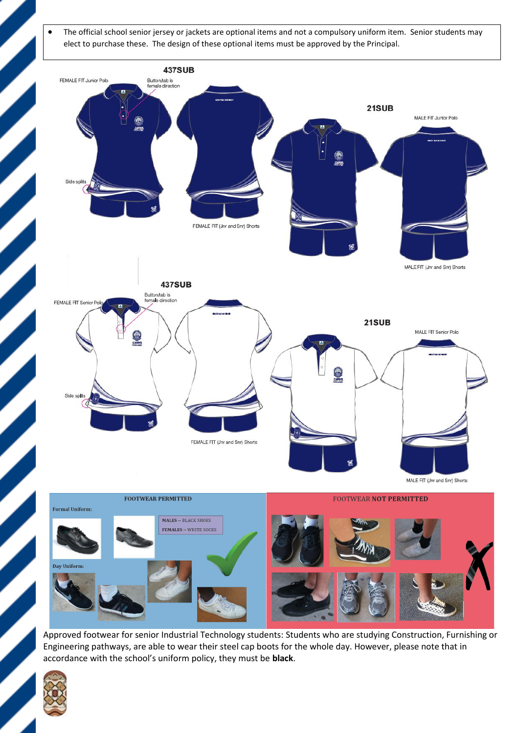• The official school senior jersey or jackets are optional items and not a compulsory uniform item. Senior students may elect to purchase these. The design of these optional items must be approved by the Principal.





Approved footwear for senior Industrial Technology students: Students who are studying Construction, Furnishing or Engineering pathways, are able to wear their steel cap boots for the whole day. However, please note that in accordance with the school's uniform policy, they must be **black**.

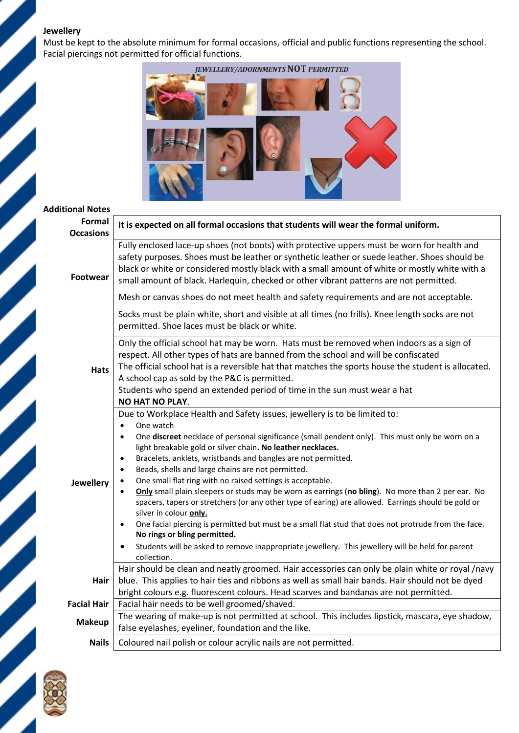## **Jewellery**

Must be kept to the absolute minimum for formal occasions, official and public functions representing the school. Facial piercings not permitted for official functions.



## **Additional Notes**

| <b>Formal</b><br><b>Occasions</b> | It is expected on all formal occasions that students will wear the formal uniform.                                                                                                                                                                                                                                                                                                                                                                                                                                                                                                                                                                                                                                                                                                                                                                                                                                                                                                                                                                     |  |
|-----------------------------------|--------------------------------------------------------------------------------------------------------------------------------------------------------------------------------------------------------------------------------------------------------------------------------------------------------------------------------------------------------------------------------------------------------------------------------------------------------------------------------------------------------------------------------------------------------------------------------------------------------------------------------------------------------------------------------------------------------------------------------------------------------------------------------------------------------------------------------------------------------------------------------------------------------------------------------------------------------------------------------------------------------------------------------------------------------|--|
| <b>Footwear</b>                   | Fully enclosed lace-up shoes (not boots) with protective uppers must be worn for health and<br>safety purposes. Shoes must be leather or synthetic leather or suede leather. Shoes should be<br>black or white or considered mostly black with a small amount of white or mostly white with a<br>small amount of black. Harlequin, checked or other vibrant patterns are not permitted.                                                                                                                                                                                                                                                                                                                                                                                                                                                                                                                                                                                                                                                                |  |
|                                   | Mesh or canvas shoes do not meet health and safety requirements and are not acceptable.                                                                                                                                                                                                                                                                                                                                                                                                                                                                                                                                                                                                                                                                                                                                                                                                                                                                                                                                                                |  |
|                                   | Socks must be plain white, short and visible at all times (no frills). Knee length socks are not<br>permitted. Shoe laces must be black or white.                                                                                                                                                                                                                                                                                                                                                                                                                                                                                                                                                                                                                                                                                                                                                                                                                                                                                                      |  |
| <b>Hats</b>                       | Only the official school hat may be worn. Hats must be removed when indoors as a sign of<br>respect. All other types of hats are banned from the school and will be confiscated<br>The official school hat is a reversible hat that matches the sports house the student is allocated.<br>A school cap as sold by the P&C is permitted.<br>Students who spend an extended period of time in the sun must wear a hat<br><b>NO HAT NO PLAY.</b>                                                                                                                                                                                                                                                                                                                                                                                                                                                                                                                                                                                                          |  |
| <b>Jewellery</b>                  | Due to Workplace Health and Safety issues, jewellery is to be limited to:<br>One watch<br>$\bullet$<br>One discreet necklace of personal significance (small pendent only). This must only be worn on a<br>$\bullet$<br>light breakable gold or silver chain. No leather necklaces.<br>Bracelets, anklets, wristbands and bangles are not permitted.<br>$\bullet$<br>Beads, shells and large chains are not permitted.<br>$\bullet$<br>One small flat ring with no raised settings is acceptable.<br>$\bullet$<br>Only small plain sleepers or studs may be worn as earrings (no bling). No more than 2 per ear. No<br>$\bullet$<br>spacers, tapers or stretchers (or any other type of earing) are allowed. Earrings should be gold or<br>silver in colour only.<br>One facial piercing is permitted but must be a small flat stud that does not protrude from the face.<br>$\bullet$<br>No rings or bling permitted.<br>Students will be asked to remove inappropriate jewellery. This jewellery will be held for parent<br>$\bullet$<br>collection. |  |
| Hair                              | Hair should be clean and neatly groomed. Hair accessories can only be plain white or royal /navy<br>blue. This applies to hair ties and ribbons as well as small hair bands. Hair should not be dyed<br>bright colours e.g. fluorescent colours. Head scarves and bandanas are not permitted.                                                                                                                                                                                                                                                                                                                                                                                                                                                                                                                                                                                                                                                                                                                                                          |  |
| <b>Facial Hair</b>                | Facial hair needs to be well groomed/shaved.                                                                                                                                                                                                                                                                                                                                                                                                                                                                                                                                                                                                                                                                                                                                                                                                                                                                                                                                                                                                           |  |
| <b>Makeup</b>                     | The wearing of make-up is not permitted at school. This includes lipstick, mascara, eye shadow,<br>false eyelashes, eyeliner, foundation and the like.                                                                                                                                                                                                                                                                                                                                                                                                                                                                                                                                                                                                                                                                                                                                                                                                                                                                                                 |  |
| <b>Nails</b>                      | Coloured nail polish or colour acrylic nails are not permitted.                                                                                                                                                                                                                                                                                                                                                                                                                                                                                                                                                                                                                                                                                                                                                                                                                                                                                                                                                                                        |  |